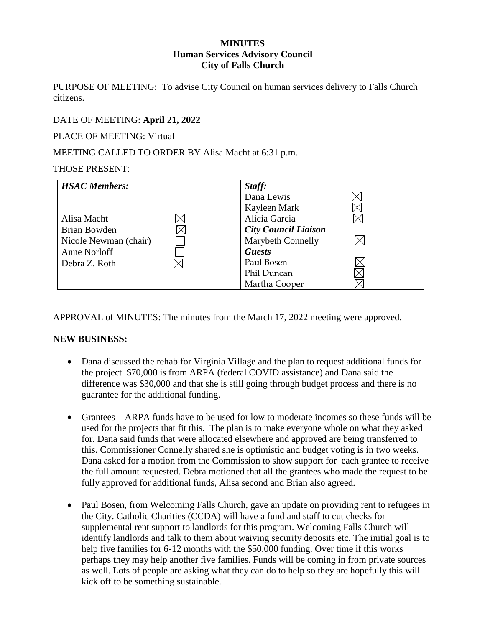#### **MINUTES Human Services Advisory Council City of Falls Church**

PURPOSE OF MEETING: To advise City Council on human services delivery to Falls Church citizens.

## DATE OF MEETING: **April 21, 2022**

PLACE OF MEETING: Virtual

MEETING CALLED TO ORDER BY Alisa Macht at 6:31 p.m.

#### THOSE PRESENT:

| <b>HSAC</b> Members:  | Staff:                      |
|-----------------------|-----------------------------|
|                       | Dana Lewis                  |
|                       | Kayleen Mark                |
| Alisa Macht           | Alicia Garcia               |
| Brian Bowden          | <b>City Council Liaison</b> |
| Nicole Newman (chair) | <b>Marybeth Connelly</b>    |
| Anne Norloff          | <b>Guests</b>               |
| Debra Z. Roth         | Paul Bosen                  |
|                       | Phil Duncan                 |
|                       | Martha Cooper               |

APPROVAL of MINUTES: The minutes from the March 17, 2022 meeting were approved.

### **NEW BUSINESS:**

- Dana discussed the rehab for Virginia Village and the plan to request additional funds for the project. \$70,000 is from ARPA (federal COVID assistance) and Dana said the difference was \$30,000 and that she is still going through budget process and there is no guarantee for the additional funding.
- Grantees ARPA funds have to be used for low to moderate incomes so these funds will be used for the projects that fit this. The plan is to make everyone whole on what they asked for. Dana said funds that were allocated elsewhere and approved are being transferred to this. Commissioner Connelly shared she is optimistic and budget voting is in two weeks. Dana asked for a motion from the Commission to show support for each grantee to receive the full amount requested. Debra motioned that all the grantees who made the request to be fully approved for additional funds, Alisa second and Brian also agreed.
- Paul Bosen, from Welcoming Falls Church, gave an update on providing rent to refugees in the City. Catholic Charities (CCDA) will have a fund and staff to cut checks for supplemental rent support to landlords for this program. Welcoming Falls Church will identify landlords and talk to them about waiving security deposits etc. The initial goal is to help five families for 6-12 months with the \$50,000 funding. Over time if this works perhaps they may help another five families. Funds will be coming in from private sources as well. Lots of people are asking what they can do to help so they are hopefully this will kick off to be something sustainable.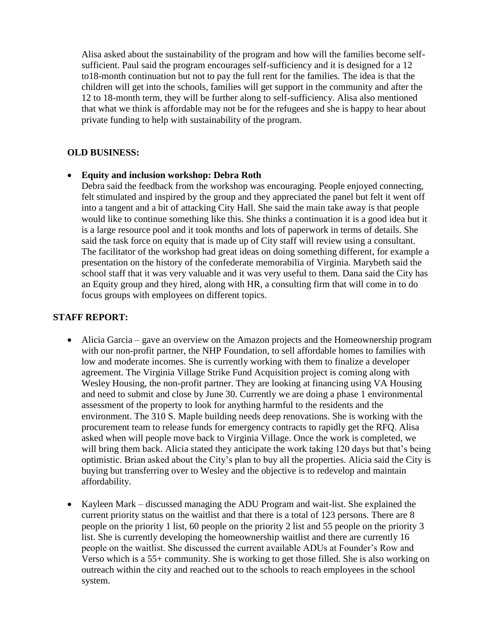Alisa asked about the sustainability of the program and how will the families become selfsufficient. Paul said the program encourages self-sufficiency and it is designed for a 12 to18-month continuation but not to pay the full rent for the families. The idea is that the children will get into the schools, families will get support in the community and after the 12 to 18-month term, they will be further along to self-sufficiency. Alisa also mentioned that what we think is affordable may not be for the refugees and she is happy to hear about private funding to help with sustainability of the program.

### **OLD BUSINESS:**

### • **Equity and inclusion workshop: Debra Roth**

Debra said the feedback from the workshop was encouraging. People enjoyed connecting, felt stimulated and inspired by the group and they appreciated the panel but felt it went off into a tangent and a bit of attacking City Hall. She said the main take away is that people would like to continue something like this. She thinks a continuation it is a good idea but it is a large resource pool and it took months and lots of paperwork in terms of details. She said the task force on equity that is made up of City staff will review using a consultant. The facilitator of the workshop had great ideas on doing something different, for example a presentation on the history of the confederate memorabilia of Virginia. Marybeth said the school staff that it was very valuable and it was very useful to them. Dana said the City has an Equity group and they hired, along with HR, a consulting firm that will come in to do focus groups with employees on different topics.

### **STAFF REPORT:**

- Alicia Garcia gave an overview on the Amazon projects and the Homeownership program with our non-profit partner, the NHP Foundation, to sell affordable homes to families with low and moderate incomes. She is currently working with them to finalize a developer agreement. The Virginia Village Strike Fund Acquisition project is coming along with Wesley Housing, the non-profit partner. They are looking at financing using VA Housing and need to submit and close by June 30. Currently we are doing a phase 1 environmental assessment of the property to look for anything harmful to the residents and the environment. The 310 S. Maple building needs deep renovations. She is working with the procurement team to release funds for emergency contracts to rapidly get the RFQ. Alisa asked when will people move back to Virginia Village. Once the work is completed, we will bring them back. Alicia stated they anticipate the work taking 120 days but that's being optimistic. Brian asked about the City's plan to buy all the properties. Alicia said the City is buying but transferring over to Wesley and the objective is to redevelop and maintain affordability.
- Kayleen Mark discussed managing the ADU Program and wait-list. She explained the current priority status on the waitlist and that there is a total of 123 persons. There are 8 people on the priority 1 list, 60 people on the priority 2 list and 55 people on the priority 3 list. She is currently developing the homeownership waitlist and there are currently 16 people on the waitlist. She discussed the current available ADUs at Founder's Row and Verso which is a 55+ community. She is working to get those filled. She is also working on outreach within the city and reached out to the schools to reach employees in the school system.